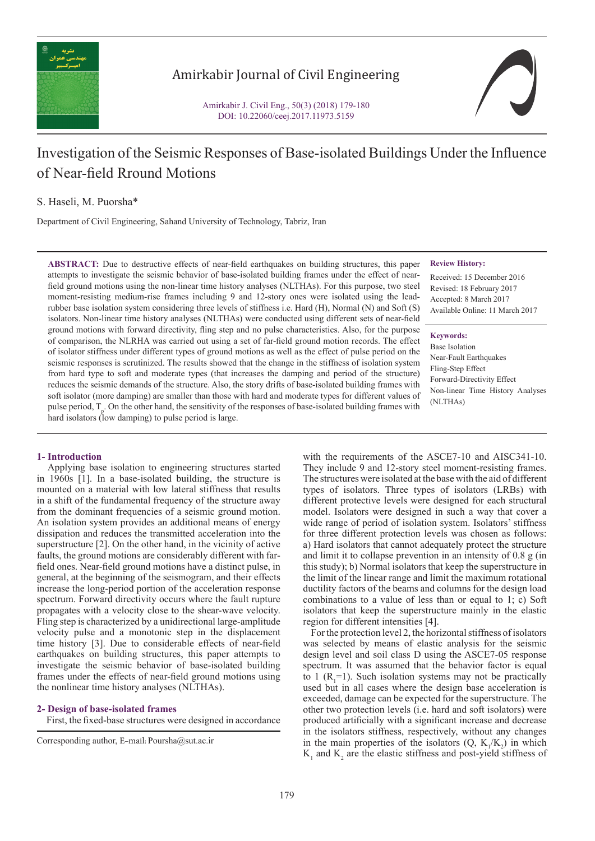

# Amirkabir Journal of Civil Engineering

Amirkabir J. Civil Eng., 50(3) (2018) 179-180 DOI: 10.22060/ceej.2017.11973.5159



# Investigation of the Seismic Responses of Base-isolated Buildings Under the Influence of Near-field Rround Motions

S. Haseli, M. Puorsha\*

Department of Civil Engineering, Sahand University of Technology, Tabriz, Iran

**ABSTRACT:** Due to destructive effects of near-field earthquakes on building structures, this paper attempts to investigate the seismic behavior of base-isolated building frames under the effect of nearfield ground motions using the non-linear time history analyses (NLTHAs). For this purpose, two steel moment-resisting medium-rise frames including 9 and 12-story ones were isolated using the leadrubber base isolation system considering three levels of stiffness i.e. Hard (H), Normal (N) and Soft (S) isolators. Non-linear time history analyses (NLTHAs) were conducted using different sets of near-field ground motions with forward directivity, fling step and no pulse characteristics. Also, for the purpose of comparison, the NLRHA was carried out using a set of far-field ground motion records. The effect of isolator stiffness under different types of ground motions as well as the effect of pulse period on the seismic responses is scrutinized. The results showed that the change in the stiffness of isolation system from hard type to soft and moderate types (that increases the damping and period of the structure) reduces the seismic demands of the structure. Also, the story drifts of base-isolated building frames with soft isolator (more damping) are smaller than those with hard and moderate types for different values of pulse period,  $T_p$ . On the other hand, the sensitivity of the responses of base-isolated building frames with hard isolators (low damping) to pulse period is large.

## **1- Introduction**

 Applying base isolation to engineering structures started in 1960s [1]. In a base-isolated building, the structure is mounted on a material with low lateral stiffness that results in a shift of the fundamental frequency of the structure away from the dominant frequencies of a seismic ground motion. An isolation system provides an additional means of energy dissipation and reduces the transmitted acceleration into the superstructure [2]. On the other hand, in the vicinity of active faults, the ground motions are considerably different with farfield ones. Near-field ground motions have a distinct pulse, in general, at the beginning of the seismogram, and their effects increase the long-period portion of the acceleration response spectrum. Forward directivity occurs where the fault rupture propagates with a velocity close to the shear-wave velocity. Fling step is characterized by a unidirectional large-amplitude velocity pulse and a monotonic step in the displacement time history [3]. Due to considerable effects of near-field earthquakes on building structures, this paper attempts to investigate the seismic behavior of base-isolated building frames under the effects of near-field ground motions using the nonlinear time history analyses (NLTHAs).

#### **2- Design of base-isolated frames**

First, the fixed-base structures were designed in accordance

**Review History:**

Received: 15 December 2016 Revised: 18 February 2017 Accepted: 8 March 2017 Available Online: 11 March 2017

**Keywords:** Base Isolation Near-Fault Earthquakes Fling-Step Effect Forward-Directivity Effect Non-linear Time History Analyses  $(NITHAs)$ 

with the requirements of the ASCE7-10 and AISC341-10. They include 9 and 12-story steel moment-resisting frames. The structures were isolated at the base with the aid of different types of isolators. Three types of isolators (LRBs) with different protective levels were designed for each structural model. Isolators were designed in such a way that cover a wide range of period of isolation system. Isolators' stiffness for three different protection levels was chosen as follows: a) Hard isolators that cannot adequately protect the structure and limit it to collapse prevention in an intensity of 0.8 g (in this study); b) Normal isolators that keep the superstructure in the limit of the linear range and limit the maximum rotational ductility factors of the beams and columns for the design load combinations to a value of less than or equal to 1; c) Soft isolators that keep the superstructure mainly in the elastic region for different intensities [4].

 For the protection level 2, the horizontal stiffness of isolators was selected by means of elastic analysis for the seismic design level and soil class D using the ASCE7-05 response spectrum. It was assumed that the behavior factor is equal to 1  $(R_1=1)$ . Such isolation systems may not be practically used but in all cases where the design base acceleration is exceeded, damage can be expected for the superstructure. The other two protection levels (i.e. hard and soft isolators) were produced artificially with a significant increase and decrease in the isolators stiffness, respectively, without any changes in the main properties of the isolators  $(Q, K_1/K_2)$  in which  $K_1$  and  $K_2$  are the elastic stiffness and post-yield stiffness of

Corresponding author, E-mail: Poursha@sut.ac.ir